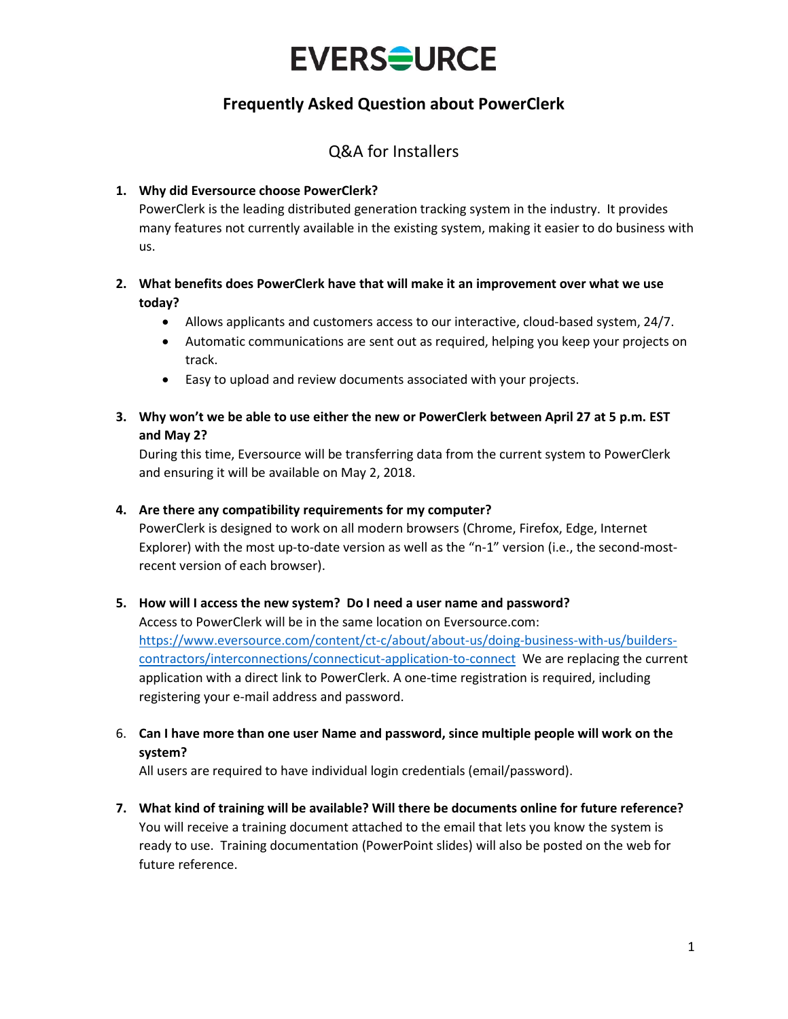# **EVERSOURCE**

## **Frequently Asked Question about PowerClerk**

## Q&A for Installers

#### **1. Why did Eversource choose PowerClerk?**

PowerClerk is the leading distributed generation tracking system in the industry. It provides many features not currently available in the existing system, making it easier to do business with us.

#### **2. What benefits does PowerClerk have that will make it an improvement over what we use today?**

- Allows applicants and customers access to our interactive, cloud-based system, 24/7.
- Automatic communications are sent out as required, helping you keep your projects on track.
- Easy to upload and review documents associated with your projects.

#### **3. Why won't we be able to use either the new or PowerClerk between April 27 at 5 p.m. EST and May 2?**

During this time, Eversource will be transferring data from the current system to PowerClerk and ensuring it will be available on May 2, 2018.

#### **4. Are there any compatibility requirements for my computer?**

PowerClerk is designed to work on all modern browsers (Chrome, Firefox, Edge, Internet Explorer) with the most up-to-date version as well as the "n-1" version (i.e., the second-mostrecent version of each browser).

#### **5. How will I access the new system? Do I need a user name and password?**

Access to PowerClerk will be in the same location on Eversource.com: [https://www.eversource.com/content/ct-c/about/about-us/doing-business-with-us/builders](https://www.eversource.com/content/ct-c/about/about-us/doing-business-with-us/builders-contractors/interconnections/connecticut-application-to-connect)[contractors/interconnections/connecticut-application-to-connect](https://www.eversource.com/content/ct-c/about/about-us/doing-business-with-us/builders-contractors/interconnections/connecticut-application-to-connect) We are replacing the current application with a direct link to PowerClerk. A one-time registration is required, including registering your e-mail address and password.

### 6. **Can I have more than one user Name and password, since multiple people will work on the system?**

All users are required to have individual login credentials (email/password).

**7. What kind of training will be available? Will there be documents online for future reference?** You will receive a training document attached to the email that lets you know the system is ready to use. Training documentation (PowerPoint slides) will also be posted on the web for future reference.